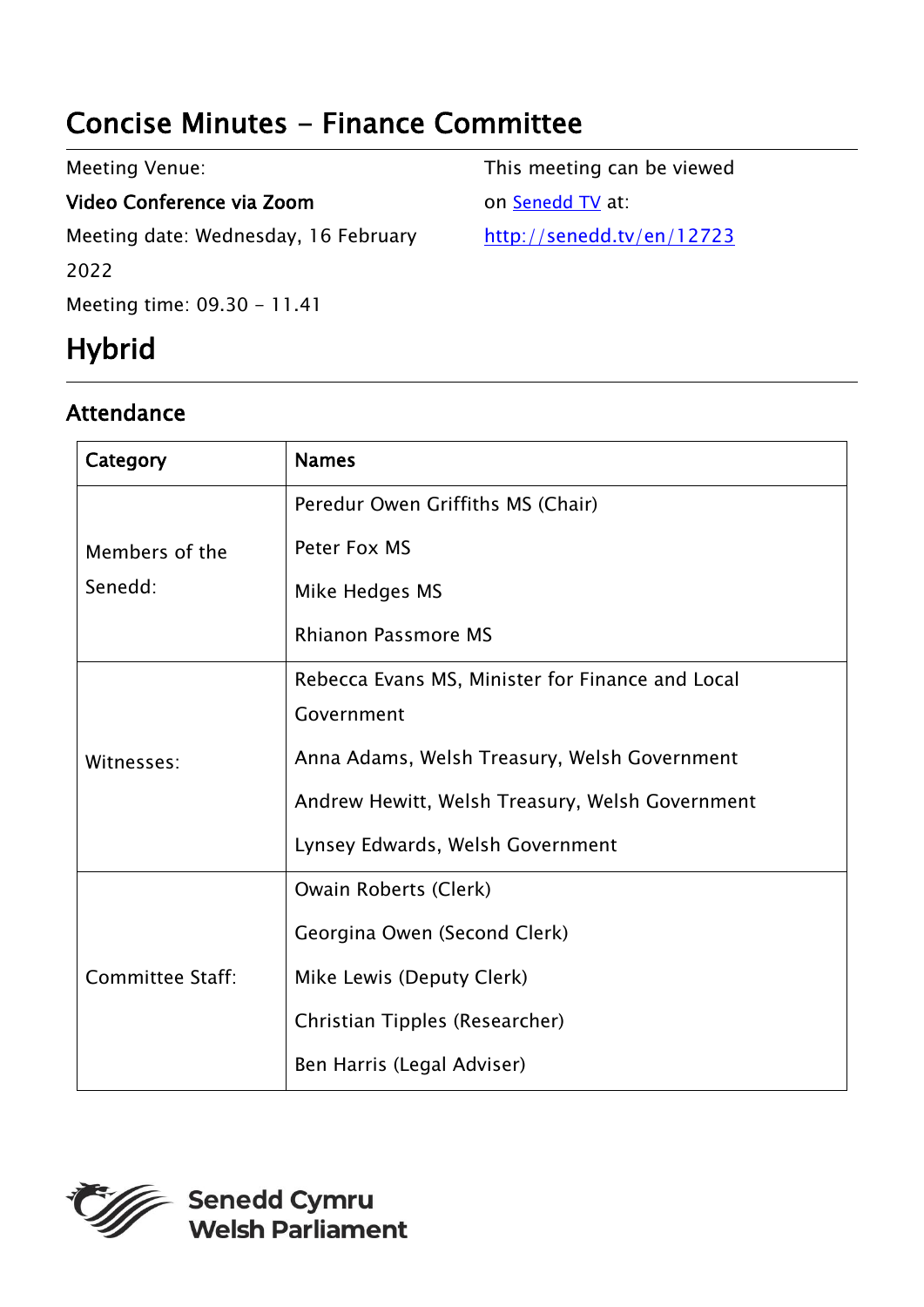# Concise Minutes - Finance Committee

| Meeting Venue:                       | This meeting can be viewed |
|--------------------------------------|----------------------------|
| Video Conference via Zoom            | on Senedd TV at:           |
| Meeting date: Wednesday, 16 February | http://senedd.tv/en/12723  |
| 2022                                 |                            |
| Meeting time: 09.30 - 11.41          |                            |

# Hybrid

## Attendance

| Category                  | <b>Names</b>                                     |
|---------------------------|--------------------------------------------------|
| Members of the<br>Senedd: | Peredur Owen Griffiths MS (Chair)                |
|                           | Peter Fox MS                                     |
|                           | Mike Hedges MS                                   |
|                           | <b>Rhianon Passmore MS</b>                       |
| Witnesses:                | Rebecca Evans MS, Minister for Finance and Local |
|                           | Government                                       |
|                           | Anna Adams, Welsh Treasury, Welsh Government     |
|                           | Andrew Hewitt, Welsh Treasury, Welsh Government  |
|                           | Lynsey Edwards, Welsh Government                 |
| <b>Committee Staff:</b>   | Owain Roberts (Clerk)                            |
|                           | Georgina Owen (Second Clerk)                     |
|                           | Mike Lewis (Deputy Clerk)                        |
|                           | Christian Tipples (Researcher)                   |
|                           | Ben Harris (Legal Adviser)                       |